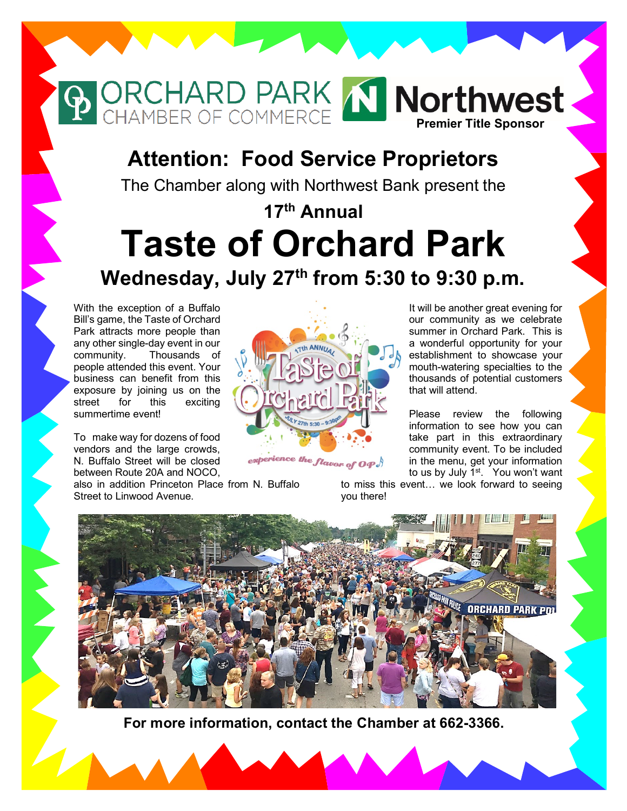## **Attention: Food Service Proprietors**

**P ORCHARD PARK IN Northwest** 

The Chamber along with Northwest Bank present the

# **17th Annual Taste of Orchard Park Wednesday, July 27th from 5:30 to 9:30 p.m.**

With the exception of a Buffalo Bill's game, the Taste of Orchard Park attracts more people than any other single-day event in our community. Thousands of people attended this event. Your business can benefit from this exposure by joining us on the street for this exciting summertime event!

To make way for dozens of food vendors and the large crowds, N. Buffalo Street will be closed between Route 20A and NOCO,

also in addition Princeton Place from N. Buffalo Street to Linwood Avenue.

It will be another great evening for our community as we celebrate summer in Orchard Park. This is a wonderful opportunity for your establishment to showcase your mouth-watering specialties to the thousands of potential customers that will attend.

Please review the following information to see how you can take part in this extraordinary community event. To be included in the menu, get your information to us by July 1<sup>st</sup>. You won't want

to miss this event… we look forward to seeing you there!



experience the flavor of  $\bm{o}\bm{\varphi}$ 

**For more information, contact the Chamber at 662-3366.**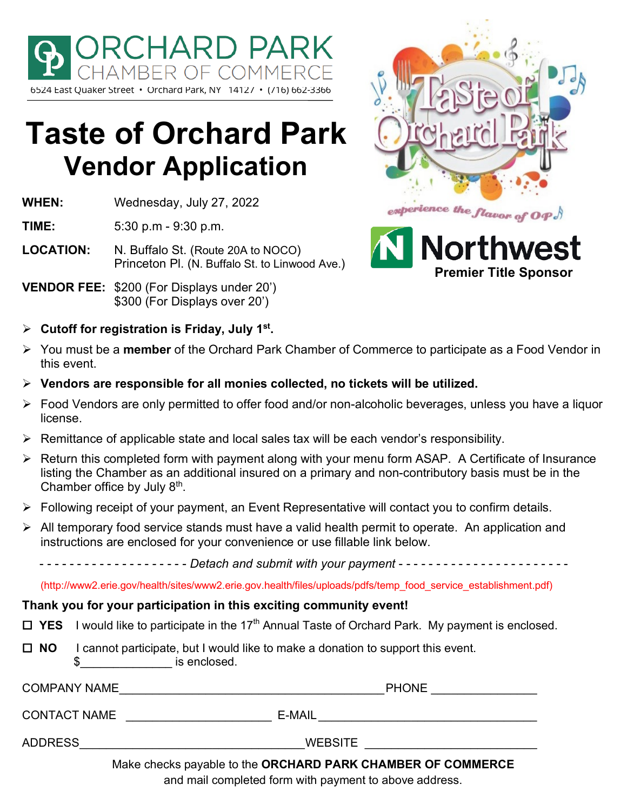

# **Taste of Orchard Park Vendor Application**

**WHEN:** Wednesday, July 27, 2022

**TIME:** 5:30 p.m - 9:30 p.m.

**LOCATION:** N. Buffalo St. (Route 20A to NOCO) Princeton Pl. (N. Buffalo St. to Linwood Ave.)

**VENDOR FEE:** \$200 (For Displays under 20') \$300 (For Displays over 20')

**Cutoff for registration is Friday, July 1st.**





- You must be a **member** of the Orchard Park Chamber of Commerce to participate as a Food Vendor in this event.
- **Vendors are responsible for all monies collected, no tickets will be utilized.**
- Food Vendors are only permitted to offer food and/or non-alcoholic beverages, unless you have a liquor license.
- $\triangleright$  Remittance of applicable state and local sales tax will be each vendor's responsibility.
- $\triangleright$  Return this completed form with payment along with your menu form ASAP. A Certificate of Insurance listing the Chamber as an additional insured on a primary and non-contributory basis must be in the Chamber office by July 8th.
- Following receipt of your payment, an Event Representative will contact you to confirm details.
- $\triangleright$  All temporary food service stands must have a valid health permit to operate. An application and instructions are enclosed for your convenience or use fillable link below.

- - - - - - - - - - - - - - - - - - - - *Detach and submit with your payment* - - - - - - - - - - - - - - - - - - - - - - -

(http://www2.erie.gov/health/sites/www2.erie.gov.health/files/uploads/pdfs/temp\_food\_service\_establishment.pdf)

#### **Thank you for your participation in this exciting community event!**

- $\Box$  **YES** I would like to participate in the 17<sup>th</sup> Annual Taste of Orchard Park. My payment is enclosed.
- **NO** I cannot participate, but I would like to make a donation to support this event.  $\$\text{}$  is enclosed.

| <b>COMPANY NAME</b> | <b>PHONE</b>                                                                  |
|---------------------|-------------------------------------------------------------------------------|
| <b>CONTACT NAME</b> | E-MAIL                                                                        |
| <b>ADDRESS</b>      | <b>WEBSITE</b><br>Make abasic povable to the ODCUADD DADK CUAMDED OF COMMEDCE |

Make checks payable to the **ORCHARD PARK CHAMBER OF COMMERCE** 

and mail completed form with payment to above address.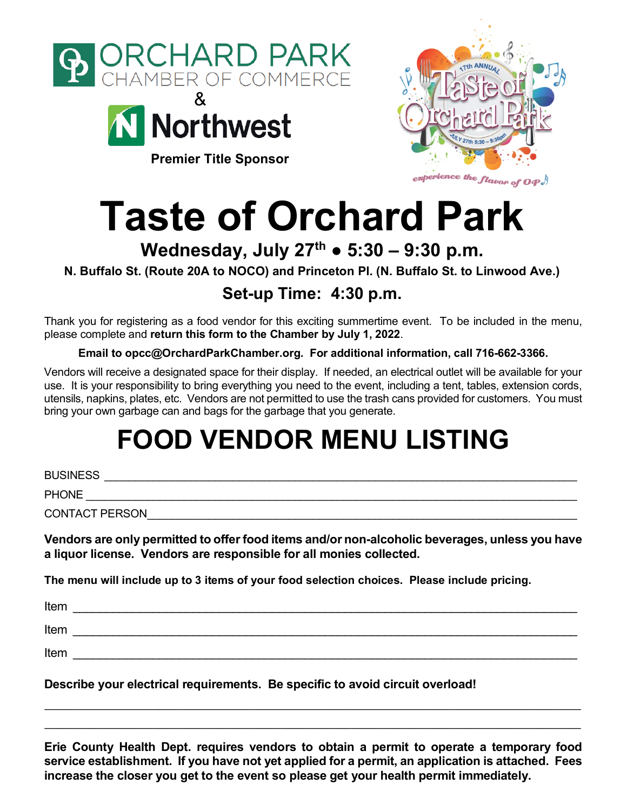



**Premier Title Sponsor**



# **Taste of Orchard Park**

### **Wednesday, July 27th ● 5:30 – 9:30 p.m.**

**N. Buffalo St. (Route 20A to NOCO) and Princeton Pl. (N. Buffalo St. to Linwood Ave.)**

### **Set-up Time: 4:30 p.m.**

Thank you for registering as a food vendor for this exciting summertime event.To be included in the menu, please complete and **return this form to the Chamber by July 1, 2022**.

**Email to opcc@OrchardParkChamber.org. For additional information, call 716-662-3366.**

Vendors will receive a designated space for their display. If needed, an electrical outlet will be available for your use. It is your responsibility to bring everything you need to the event, including a tent, tables, extension cords, utensils, napkins, plates, etc. Vendors are not permitted to use the trash cans provided for customers. You must bring your own garbage can and bags for the garbage that you generate.

# **FOOD VENDOR MENU LISTING**

BUSINESS \_\_\_\_\_\_\_\_\_\_\_\_\_\_\_\_\_\_\_\_\_\_\_\_\_\_\_\_\_\_\_\_\_\_\_\_\_\_\_\_\_\_\_\_\_\_\_\_\_\_\_\_\_\_\_\_\_\_\_\_\_\_\_\_\_\_\_\_\_\_\_\_\_\_\_\_\_

PHONE **EXECUTE** 

CONTACT PERSON

**Vendors are only permitted to offer food items and/or non-alcoholic beverages, unless you have a liquor license. Vendors are responsible for all monies collected.** 

**The menu will include up to 3 items of your food selection choices. Please include pricing.**

| Item |  |
|------|--|
| Item |  |
| Item |  |
|      |  |

**Describe your electrical requirements. Be specific to avoid circuit overload!**

**Erie County Health Dept. requires vendors to obtain a permit to operate a temporary food service establishment. If you have not yet applied for a permit, an application is attached. Fees increase the closer you get to the event so please get your health permit immediately.**

\_\_\_\_\_\_\_\_\_\_\_\_\_\_\_\_\_\_\_\_\_\_\_\_\_\_\_\_\_\_\_\_\_\_\_\_\_\_\_\_\_\_\_\_\_\_\_\_\_\_\_\_\_\_\_\_\_\_\_\_\_\_\_\_\_\_\_\_\_\_\_\_\_\_\_\_\_\_\_\_\_\_\_\_  $\_$  , and the state of the state of the state of the state of the state of the state of the state of the state of the state of the state of the state of the state of the state of the state of the state of the state of the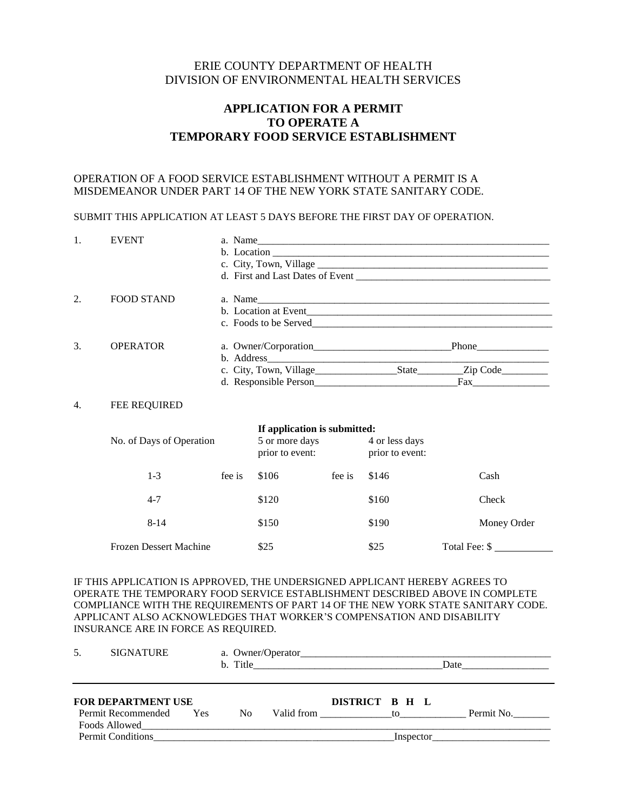#### ERIE COUNTY DEPARTMENT OF HEALTH DIVISION OF ENVIRONMENTAL HEALTH SERVICES

#### **APPLICATION FOR A PERMIT TO OPERATE A TEMPORARY FOOD SERVICE ESTABLISHMENT**

#### OPERATION OF A FOOD SERVICE ESTABLISHMENT WITHOUT A PERMIT IS A MISDEMEANOR UNDER PART 14 OF THE NEW YORK STATE SANITARY CODE.

#### SUBMIT THIS APPLICATION AT LEAST 5 DAYS BEFORE THE FIRST DAY OF OPERATION.

| 1.                          | <b>EVENT</b>                  | a. Name |                              |                                                                     |       |               |  |
|-----------------------------|-------------------------------|---------|------------------------------|---------------------------------------------------------------------|-------|---------------|--|
|                             |                               |         |                              |                                                                     |       |               |  |
|                             |                               |         |                              |                                                                     |       |               |  |
|                             |                               |         |                              |                                                                     |       |               |  |
| 2.                          | <b>FOOD STAND</b>             |         |                              |                                                                     |       |               |  |
|                             |                               |         |                              |                                                                     |       |               |  |
|                             |                               |         |                              |                                                                     |       |               |  |
| $\mathcal{F}_{\mathcal{F}}$ | <b>OPERATOR</b>               |         |                              |                                                                     |       |               |  |
|                             |                               |         |                              |                                                                     |       |               |  |
|                             |                               |         |                              |                                                                     |       |               |  |
|                             |                               |         |                              |                                                                     |       |               |  |
| 4.                          | <b>FEE REQUIRED</b>           |         |                              |                                                                     |       |               |  |
|                             |                               |         | If application is submitted: |                                                                     |       |               |  |
|                             | No. of Days of Operation      |         |                              | 5 or more days<br>4 or less days<br>prior to event: prior to event: |       |               |  |
|                             | $1 - 3$                       | fee is  | \$106                        | fee is                                                              | \$146 | Cash          |  |
|                             | $4 - 7$                       |         | \$120                        |                                                                     | \$160 | Check         |  |
|                             | $8 - 14$                      |         | \$150                        |                                                                     | \$190 | Money Order   |  |
|                             | <b>Frozen Dessert Machine</b> |         | \$25                         |                                                                     | \$25  | Total Fee: \$ |  |
|                             |                               |         |                              |                                                                     |       |               |  |

IF THIS APPLICATION IS APPROVED, THE UNDERSIGNED APPLICANT HEREBY AGREES TO OPERATE THE TEMPORARY FOOD SERVICE ESTABLISHMENT DESCRIBED ABOVE IN COMPLETE COMPLIANCE WITH THE REQUIREMENTS OF PART 14 OF THE NEW YORK STATE SANITARY CODE. APPLICANT ALSO ACKNOWLEDGES THAT WORKER'S COMPENSATION AND DISABILITY INSURANCE ARE IN FORCE AS REQUIRED.

| <b>SIGNATURE</b><br>.5.                                          |            |                |                                    | Date       |
|------------------------------------------------------------------|------------|----------------|------------------------------------|------------|
| <b>FOR DEPARTMENT USE</b><br>Permit Recommended<br>Foods Allowed | <b>Yes</b> | N <sub>0</sub> | DISTRICT B H L<br>Valid from to to | Permit No. |
| <b>Permit Conditions</b>                                         |            |                |                                    | Inspector  |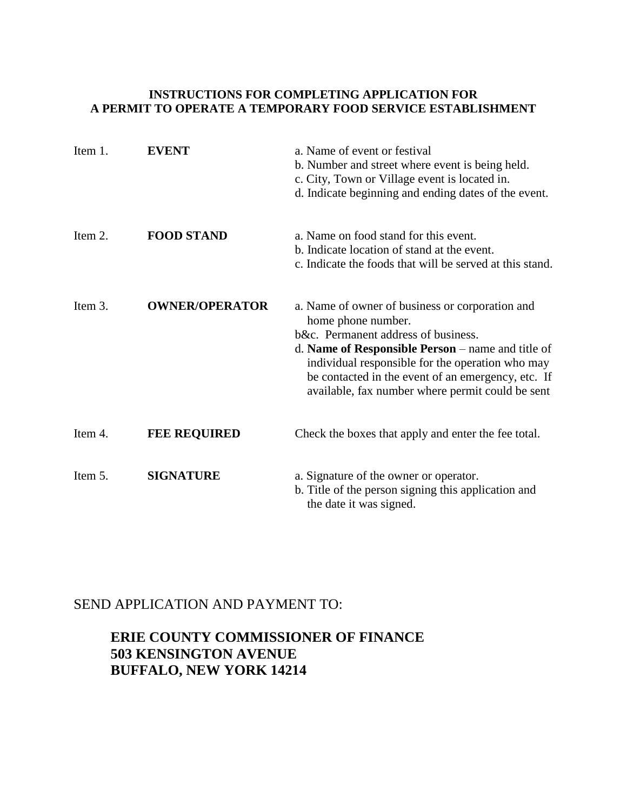#### **INSTRUCTIONS FOR COMPLETING APPLICATION FOR A PERMIT TO OPERATE A TEMPORARY FOOD SERVICE ESTABLISHMENT**

| Item 1. | <b>EVENT</b>          | a. Name of event or festival<br>b. Number and street where event is being held.<br>c. City, Town or Village event is located in.<br>d. Indicate beginning and ending dates of the event.                                                                                                                                        |
|---------|-----------------------|---------------------------------------------------------------------------------------------------------------------------------------------------------------------------------------------------------------------------------------------------------------------------------------------------------------------------------|
| Item 2. | <b>FOOD STAND</b>     | a. Name on food stand for this event.<br>b. Indicate location of stand at the event.<br>c. Indicate the foods that will be served at this stand.                                                                                                                                                                                |
| Item 3. | <b>OWNER/OPERATOR</b> | a. Name of owner of business or corporation and<br>home phone number.<br>b&c. Permanent address of business.<br>d. Name of Responsible Person – name and title of<br>individual responsible for the operation who may<br>be contacted in the event of an emergency, etc. If<br>available, fax number where permit could be sent |
| Item 4. | <b>FEE REQUIRED</b>   | Check the boxes that apply and enter the fee total.                                                                                                                                                                                                                                                                             |
| Item 5. | <b>SIGNATURE</b>      | a. Signature of the owner or operator.<br>b. Title of the person signing this application and<br>the date it was signed.                                                                                                                                                                                                        |

#### SEND APPLICATION AND PAYMENT TO:

#### **ERIE COUNTY COMMISSIONER OF FINANCE 503 KENSINGTON AVENUE BUFFALO, NEW YORK 14214**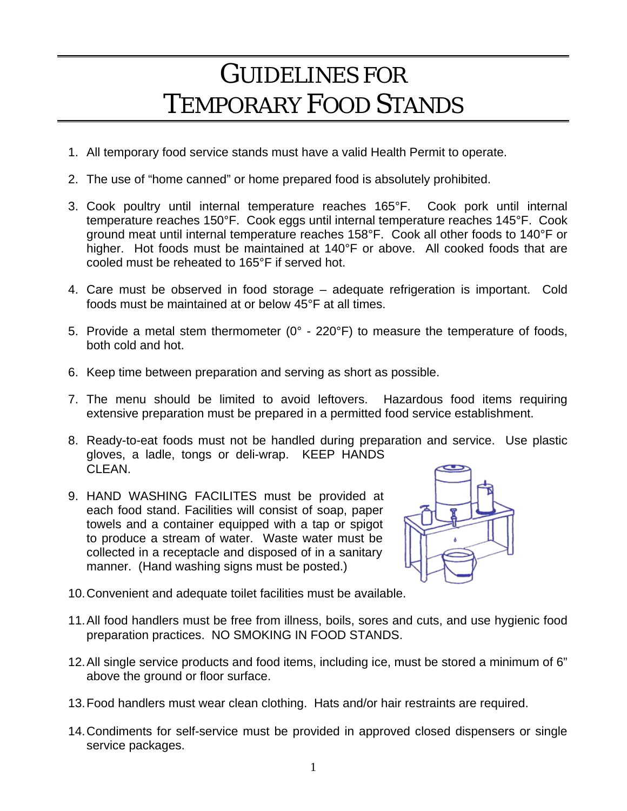# GUIDELINES FOR TEMPORARY FOOD STANDS

- 1. All temporary food service stands must have a valid Health Permit to operate.
- 2. The use of "home canned" or home prepared food is absolutely prohibited.
- 3. Cook poultry until internal temperature reaches 165°F. Cook pork until internal temperature reaches 150°F. Cook eggs until internal temperature reaches 145°F. Cook ground meat until internal temperature reaches 158°F. Cook all other foods to 140°F or higher. Hot foods must be maintained at 140°F or above. All cooked foods that are cooled must be reheated to 165°F if served hot.
- 4. Care must be observed in food storage adequate refrigeration is important. Cold foods must be maintained at or below 45°F at all times.
- 5. Provide a metal stem thermometer  $(0^{\circ}$  220 $^{\circ}$ F) to measure the temperature of foods, both cold and hot.
- 6. Keep time between preparation and serving as short as possible.
- 7. The menu should be limited to avoid leftovers. Hazardous food items requiring extensive preparation must be prepared in a permitted food service establishment.
- 8. Ready-to-eat foods must not be handled during preparation and service. Use plastic gloves, a ladle, tongs or deli-wrap. KEEP HANDS CLEAN.
- 9. HAND WASHING FACILITES must be provided at each food stand. Facilities will consist of soap, paper towels and a container equipped with a tap or spigot to produce a stream of water. Waste water must be collected in a receptacle and disposed of in a sanitary manner. (Hand washing signs must be posted.)



- 10. Convenient and adequate toilet facilities must be available.
- 11. All food handlers must be free from illness, boils, sores and cuts, and use hygienic food preparation practices. NO SMOKING IN FOOD STANDS.
- 12. All single service products and food items, including ice, must be stored a minimum of 6" above the ground or floor surface.
- 13. Food handlers must wear clean clothing. Hats and/or hair restraints are required.
- 14. Condiments for self-service must be provided in approved closed dispensers or single service packages.